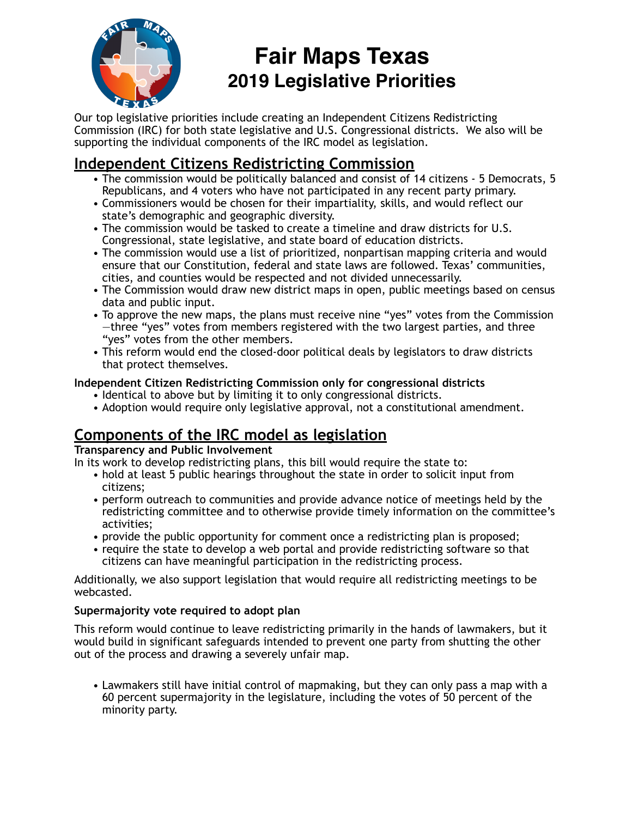

# **Fair Maps Texas 2019 Legislative Priorities**

Our top legislative priorities include creating an Independent Citizens Redistricting Commission (IRC) for both state legislative and U.S. Congressional districts. We also will be supporting the individual components of the IRC model as legislation.

# **Independent Citizens Redistricting Commission**

- The commission would be politically balanced and consist of 14 citizens 5 Democrats, 5 Republicans, and 4 voters who have not participated in any recent party primary.
- Commissioners would be chosen for their impartiality, skills, and would reflect our state's demographic and geographic diversity.
- The commission would be tasked to create a timeline and draw districts for U.S. Congressional, state legislative, and state board of education districts.
- The commission would use a list of prioritized, nonpartisan mapping criteria and would ensure that our Constitution, federal and state laws are followed. Texas' communities, cities, and counties would be respected and not divided unnecessarily.
- The Commission would draw new district maps in open, public meetings based on census data and public input.
- To approve the new maps, the plans must receive nine "yes" votes from the Commission —three "yes" votes from members registered with the two largest parties, and three "yes" votes from the other members.
- This reform would end the closed-door political deals by legislators to draw districts that protect themselves.

### **Independent Citizen Redistricting Commission only for congressional districts**

- Identical to above but by limiting it to only congressional districts.
- Adoption would require only legislative approval, not a constitutional amendment.

# **Components of the IRC model as legislation**

### **Transparency and Public Involvement**

In its work to develop redistricting plans, this bill would require the state to:

- hold at least 5 public hearings throughout the state in order to solicit input from citizens;
- perform outreach to communities and provide advance notice of meetings held by the redistricting committee and to otherwise provide timely information on the committee's activities;
- provide the public opportunity for comment once a redistricting plan is proposed;
- require the state to develop a web portal and provide redistricting software so that citizens can have meaningful participation in the redistricting process.

Additionally, we also support legislation that would require all redistricting meetings to be webcasted.

### **Supermajority vote required to adopt plan**

This reform would continue to leave redistricting primarily in the hands of lawmakers, but it would build in significant safeguards intended to prevent one party from shutting the other out of the process and drawing a severely unfair map.

• Lawmakers still have initial control of mapmaking, but they can only pass a map with a 60 percent supermajority in the legislature, including the votes of 50 percent of the minority party.